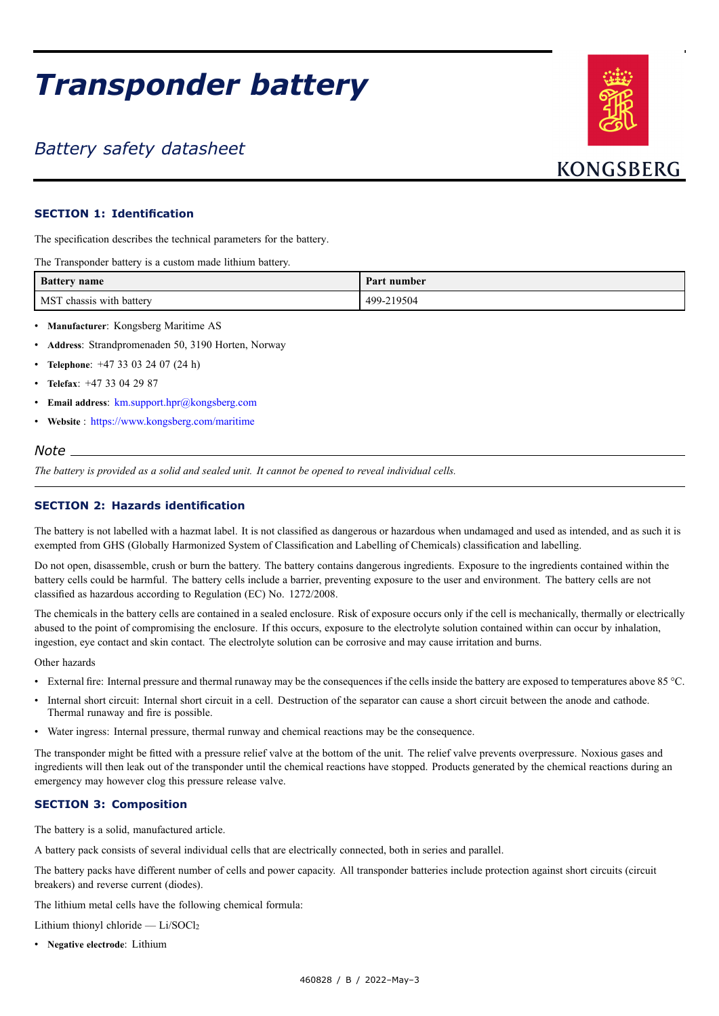# *Transponder battery*

# *Battery safety datasheet*



## **SECTION 1: Identification**

The specification describes the technical parameters for the battery.

The Transponder battery is <sup>a</sup> custom made lithium battery.

| <b>Battery name</b>      | Part number |
|--------------------------|-------------|
| MST chassis with battery | 499-219504  |

- •**Manufacturer**: Kongsberg Maritime AS
- •**Address**: Strandpromenaden 50, 3190 Horten, Norway
- •**Telephone**: +47 33 03 24 07 (24 h)
- **Telefax**: +47 33 04 29 87
- **Email address**: [km.support.hpr@kongsberg.com](mailto:km.support.hpr@kongsberg.com)
- **Website** : <https://www.kongsberg.com/maritime>

#### *Note*

The battery is provided as a solid and sealed unit. It cannot be opened to reveal individual cells.

#### **SECTION 2: Hazards identification**

The battery is not labelled with <sup>a</sup> hazmat label. It is not classified as dangerous or hazardous when undamaged and used as intended, and as such it is exempted from GHS (Globally Harmonized System of Classification and Labelling of Chemicals) classification and labelling.

Do not open, disassemble, crush or burn the battery. The battery contains dangerous ingredients. Exposure to the ingredients contained within the battery cells could be harmful. The battery cells include <sup>a</sup> barrier, preventing exposure to the user and environment. The battery cells are not classified as hazardous according to Regulation (EC) No. 1272/2008.

The chemicals in the battery cells are contained in <sup>a</sup> sealed enclosure. Risk of exposure occurs only if the cell is mechanically, thermally or electrically abused to the point of compromising the enclosure. If this occurs, exposure to the electrolyte solution contained within can occur by inhalation, ingestion, eye contact and skin contact. The electrolyte solution can be corrosive and may cause irritation and burns.

Other hazards

- External fire: Internal pressure and thermal runaway may be the consequences if the cells inside the battery are exposed to temperatures above 85 °C.
- • Internal short circuit: Internal short circuit in <sup>a</sup> cell. Destruction of the separator can cause <sup>a</sup> short circuit between the anode and cathode. Thermal runaway and fire is possible.
- Water ingress: Internal pressure, thermal runway and chemical reactions may be the consequence.

The transponder might be fitted with <sup>a</sup> pressure relief valve at the bottom of the unit. The relief valve prevents overpressure. Noxious gases and ingredients will then leak out of the transponder until the chemical reactions have stopped. Products generated by the chemical reactions during an emergency may however clog this pressure release valve.

#### **SECTION 3: Composition**

The battery is <sup>a</sup> solid, manufactured article.

A battery pack consists of several individual cells that are electrically connected, both in series and parallel.

The battery packs have different number of cells and power capacity. All transponder batteries include protection against short circuits (circuit breakers) and reverse current (diodes).

The lithium metal cells have the following chemical formula:

Lithium thionyl chloride —  $Li/SOCl<sub>2</sub>$ 

• **Negative electrode**: Lithium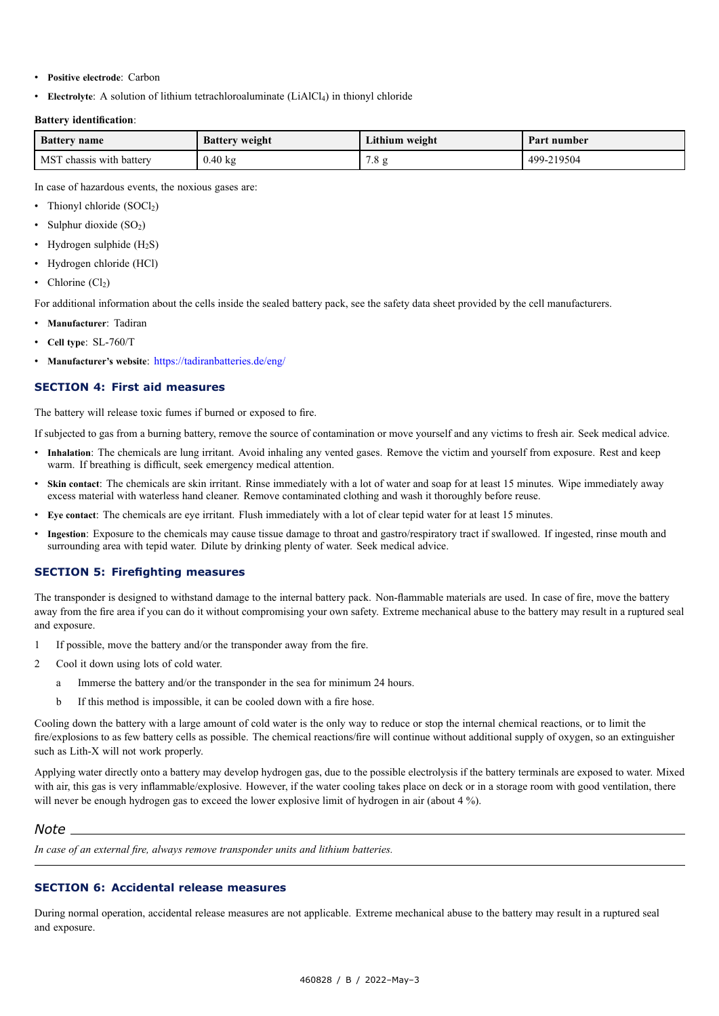- **Positive electrode**: Carbon
- **Electrolyte**: A solution of lithium tetrachloroaluminate (LiAlCl<sub>4</sub>) in thionyl chloride

#### **Battery identification**:

| <b>Battery</b> name                  | <b>Battery weight</b> | Lithium weight | Part number |
|--------------------------------------|-----------------------|----------------|-------------|
| <b>MST</b><br>Γ chassis with batterv | $0.40 \text{ kg}$     | $\cdot$ 0      | 499-219504  |

In case of hazardous events, the noxious gases are:

- Thionyl chloride  $(SOCl<sub>2</sub>)$
- •Sulphur dioxide (SO<sub>2</sub>)
- •Hydrogen sulphide  $(H_2S)$
- Hydrogen chloride (HCl)
- •Chlorine  $(Cl<sub>2</sub>)$

For additional information about the cells inside the sealed battery pack, see the safety data sheet provided by the cell manufacturers.

- **Manufacturer**: Tadiran
- •**Cell type**: SL-760/T
- •**Manufacturer's website**: <https://tadiranbatteries.de/eng/>

#### **SECTION 4: First aid measures**

The battery will release toxic fumes if burned or exposed to fire.

If subjected to gas from <sup>a</sup> burning battery, remove the source of contamination or move yourself and any victims to fresh air. Seek medical advice.

- • **Inhalation**: The chemicals are lung irritant. Avoid inhaling any vented gases. Remove the victim and yourself from exposure. Rest and keep warm. If breathing is difficult, seek emergency medical attention.
- • **Skin contact**: The chemicals are skin irritant. Rinse immediately with <sup>a</sup> lot of water and soap for at least 15 minutes. Wipe immediately away excess material with waterless hand cleaner. Remove contaminated clothing and wash it thoroughly before reuse.
- •**Eye contact**: The chemicals are eye irritant. Flush immediately with <sup>a</sup> lot of clear tepid water for at least 15 minutes.
- • **Ingestion**: Exposure to the chemicals may cause tissue damage to throat and gastro/respiratory tract if swallowed. If ingested, rinse mouth and surrounding area with tepid water. Dilute by drinking plenty of water. Seek medical advice.

#### **SECTION 5: Firefighting measures**

The transponder is designed to withstand damage to the internal battery pack. Non-flammable materials are used. In case of fire, move the battery away from the fire area if you can do it without compromising your own safety. Extreme mechanical abuse to the battery may result in <sup>a</sup> ruptured seal and exposure.

- 1 If possible, move the battery and/or the transponder away from the fire.
- 2 Cool it down using lots of cold water.
	- <sup>a</sup> Immerse the battery and/or the transponder in the sea for minimum 24 hours.
	- b If this method is impossible, it can be cooled down with <sup>a</sup> fire hose.

Cooling down the battery with <sup>a</sup> large amount of cold water is the only way to reduce or stop the internal chemical reactions, or to limit the fire/explosions to as few battery cells as possible. The chemical reactions/fire will continue without additional supply of oxygen, so an extinguisher such as Lith-X will not work properly.

Applying water directly onto <sup>a</sup> battery may develop hydrogen gas, due to the possible electrolysis if the battery terminals are exposed to water. Mixed with air, this gas is very inflammable/explosive. However, if the water cooling takes place on deck or in a storage room with good ventilation, there will never be enough hydrogen gas to exceed the lower explosive limit of hydrogen in air (about 4 %).

#### *Note*

*In case of an external fire, always remove transponder units and lithium batteries.*

# **SECTION 6: Accidental release measures**

During normal operation, accidental release measures are not applicable. Extreme mechanical abuse to the battery may result in <sup>a</sup> ruptured seal and exposure.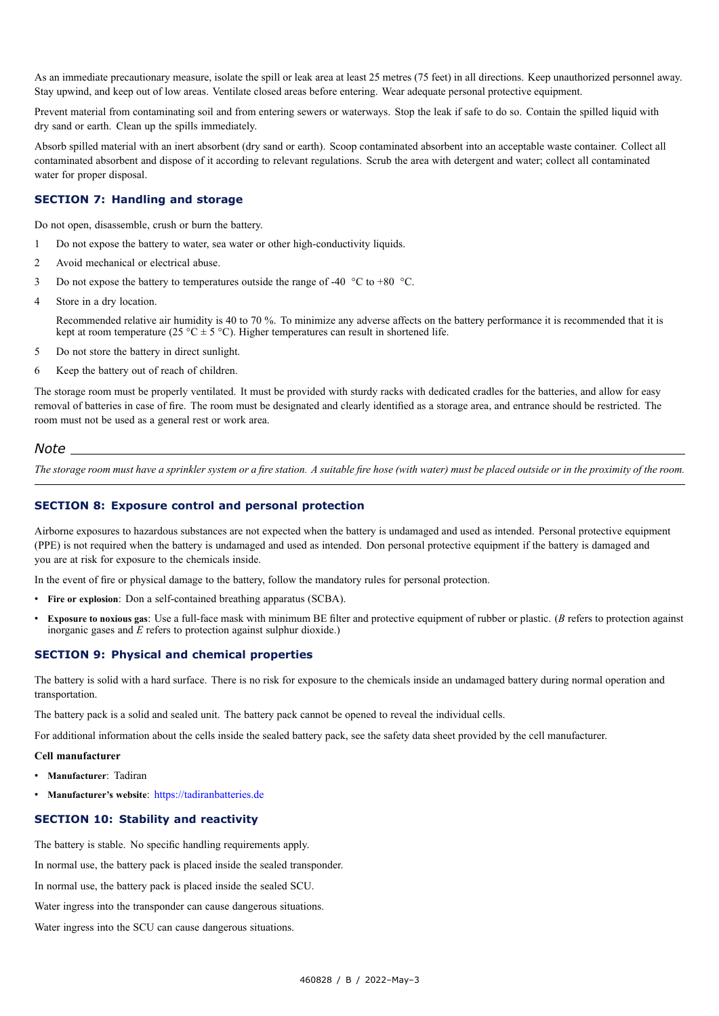As an immediate precautionary measure, isolate the spill or leak area at least 25 metres (75 feet) in all directions. Keep unauthorized personnel away. Stay upwind, and keep out of low areas. Ventilate closed areas before entering. Wear adequate personal protective equipment.

Prevent material from contaminating soil and from entering sewers or waterways. Stop the leak if safe to do so. Contain the spilled liquid with dry sand or earth. Clean up the spills immediately.

Absorb spilled material with an inert absorbent (dry sand or earth). Scoop contaminated absorbent into an acceptable waste container. Collect all contaminated absorbent and dispose of it according to relevant regulations. Scrub the area with detergent and water; collect all contaminated water for proper disposal.

#### **SECTION 7: Handling and storage**

Do not open, disassemble, crush or burn the battery.

- 1 Do not expose the battery to water, sea water or other high-conductivity liquids.
- 2 Avoid mechanical or electrical abuse.
- 3 Do not expose the battery to temperatures outside the range of -40  $\degree$ C to +80  $\degree$ C.
- 4 Store in <sup>a</sup> dry location.

Recommended relative air humidity is 40 to 70 %. To minimize any adverse affects on the battery performance it is recommended that it is kept at room temperature (25 °C  $\pm$  5 °C). Higher temperatures can result in shortened life.

- 5 Do not store the battery in direct sunlight.
- 6 Keep the battery out of reach of children.

The storage room must be properly ventilated. It must be provided with sturdy racks with dedicated cradles for the batteries, and allow for easy removal of batteries in case of fire. The room must be designated and clearly identified as <sup>a</sup> storage area, and entrance should be restricted. The room must not be used as <sup>a</sup> general rest or work area.

#### *Note*

The storage room must have a sprinkler system or a fire station. A suitable fire hose (with water) must be placed outside or in the proximity of the room.

#### **SECTION 8: Exposure control and personal protection**

Airborne exposures to hazardous substances are not expected when the battery is undamaged and used as intended. Personal protective equipment (PPE) is not required when the battery is undamaged and used as intended. Don personal protective equipment if the battery is damaged and you are at risk for exposure to the chemicals inside.

In the event of fire or physical damage to the battery, follow the mandatory rules for personal protection.

- **Fire or explosion**: Don <sup>a</sup> self-contained breathing apparatus (SCBA).
- • **Exposure to noxious gas**: Use <sup>a</sup> full-face mask with minimum BE filter and protective equipment of rubber or plastic. (*B* refers to protection against inorganic gases and *E* refers to protection against sulphur dioxide.)

#### **SECTION 9: Physical and chemical properties**

The battery is solid with <sup>a</sup> hard surface. There is no risk for exposure to the chemicals inside an undamaged battery during normal operation and transportation.

The battery pack is <sup>a</sup> solid and sealed unit. The battery pack cannot be opened to reveal the individual cells.

For additional information about the cells inside the sealed battery pack, see the safety data sheet provided by the cell manufacturer.

#### **Cell manufacturer**

- **Manufacturer**: Tadiran
- **Manufacturer's website**: [https://tadiranbatteries.de](https://tadiranbatteries.de/)

#### **SECTION 10: Stability and reactivity**

The battery is stable. No specific handling requirements apply.

In normal use, the battery pack is placed inside the sealed transponder.

In normal use, the battery pack is placed inside the sealed SCU.

Water ingress into the transponder can cause dangerous situations.

Water ingress into the SCU can cause dangerous situations.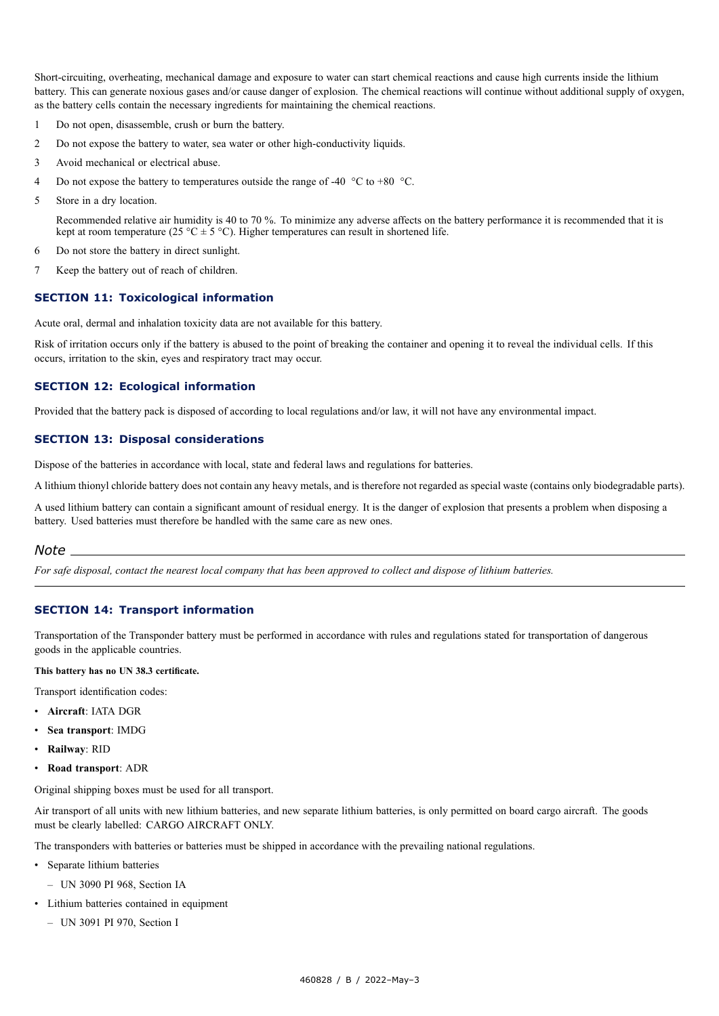Short-circuiting, overheating, mechanical damage and exposure to water can start chemical reactions and cause high currents inside the lithium battery. This can generate noxious gases and/or cause danger of explosion. The chemical reactions will continue without additional supply of oxygen, as the battery cells contain the necessary ingredients for maintaining the chemical reactions.

- 1 Do not open, disassemble, crush or burn the battery.
- 2 Do not expose the battery to water, sea water or other high-conductivity liquids.
- 3 Avoid mechanical or electrical abuse.
- 4 Do not expose the battery to temperatures outside the range of -40  $\degree$ C to +80  $\degree$ C.
- 5 Store in <sup>a</sup> dry location.

Recommended relative air humidity is 40 to 70 %. To minimize any adverse affects on the battery performance it is recommended that it is kept at room temperature (25 °C  $\pm$  5 °C). Higher temperatures can result in shortened life.

- 6 Do not store the battery in direct sunlight.
- 7 Keep the battery out of reach of children.

#### **SECTION 11: Toxicological information**

Acute oral, dermal and inhalation toxicity data are not available for this battery.

Risk of irritation occurs only if the battery is abused to the point of breaking the container and opening it to reveal the individual cells. If this occurs, irritation to the skin, eyes and respiratory tract may occur.

#### **SECTION 12: Ecological information**

Provided that the battery pack is disposed of according to local regulations and/or law, it will not have any environmental impact.

#### **SECTION 13: Disposal considerations**

Dispose of the batteries in accordance with local, state and federal laws and regulations for batteries.

A lithium thionyl chloride battery does not contain any heavy metals, and is therefore not regarded as special waste (contains only biodegradable parts).

A used lithium battery can contain <sup>a</sup> significant amount of residual energy. It is the danger of explosion that presents <sup>a</sup> problem when disposing <sup>a</sup> battery. Used batteries must therefore be handled with the same care as new ones.

#### *Note*

For safe disposal, contact the nearest local company that has been approved to collect and dispose of lithium batteries.

#### **SECTION 14: Transport information**

Transportation of the Transponder battery must be performed in accordance with rules and regulations stated for transportation of dangerous goods in the applicable countries.

#### **This battery has no UN 38.3 certificate.**

Transport identification codes:

- **Aircraft**: IATA DGR
- **Sea transport**: IMDG
- **Railway**: RID
- **Road transport**: ADR

Original shipping boxes must be used for all transport.

Air transport of all units with new lithium batteries, and new separate lithium batteries, is only permitted on board cargo aircraft. The goods must be clearly labelled: CARGO AIRCRAFT ONLY.

The transponders with batteries or batteries must be shipped in accordance with the prevailing national regulations.

- Separate lithium batteries
	- UN 3090 PI 968, Section IA
- Lithium batteries contained in equipment
	- UN 3091 PI 970, Section I